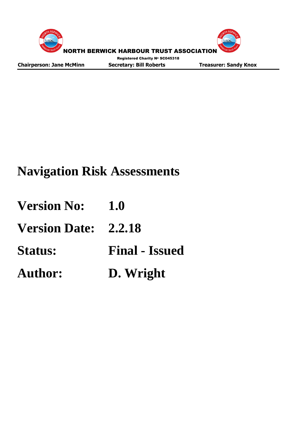



**Chairperson: Jane McMinn Secretary: Bill Roberts Treasurer: Sandy Knox**

# **Navigation Risk Assessments**

| <b>Version No:</b>          | 1.0                   |
|-----------------------------|-----------------------|
| <b>Version Date: 2.2.18</b> |                       |
| <b>Status:</b>              | <b>Final - Issued</b> |
| <b>Author:</b>              | D. Wright             |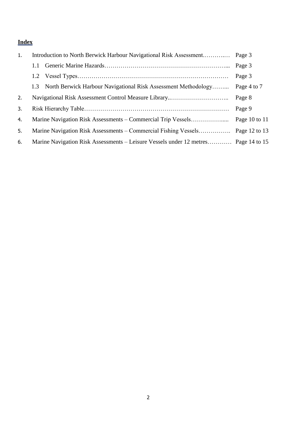# **Index**

| 1. |                                                                                      |                                                                                    |                 |  |  |  |  |  |  |  |
|----|--------------------------------------------------------------------------------------|------------------------------------------------------------------------------------|-----------------|--|--|--|--|--|--|--|
|    | 1.1                                                                                  |                                                                                    | Page 3          |  |  |  |  |  |  |  |
|    |                                                                                      | Page 3                                                                             |                 |  |  |  |  |  |  |  |
|    | Page 4 to 7<br>North Berwick Harbour Navigational Risk Assessment Methodology<br>1.3 |                                                                                    |                 |  |  |  |  |  |  |  |
| 2. | Page 8                                                                               |                                                                                    |                 |  |  |  |  |  |  |  |
| 3. |                                                                                      |                                                                                    |                 |  |  |  |  |  |  |  |
| 4. |                                                                                      |                                                                                    | Page 10 to $11$ |  |  |  |  |  |  |  |
| 5. |                                                                                      |                                                                                    |                 |  |  |  |  |  |  |  |
| 6. |                                                                                      | Marine Navigation Risk Assessments – Leisure Vessels under 12 metres Page 14 to 15 |                 |  |  |  |  |  |  |  |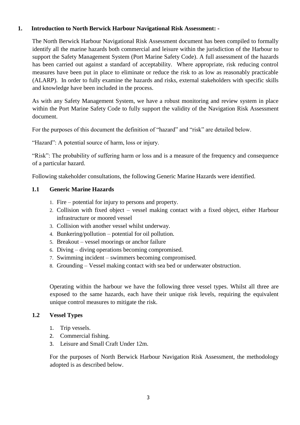#### **1. Introduction to North Berwick Harbour Navigational Risk Assessment: -**

The North Berwick Harbour Navigational Risk Assessment document has been compiled to formally identify all the marine hazards both commercial and leisure within the jurisdiction of the Harbour to support the Safety Management System (Port Marine Safety Code). A full assessment of the hazards has been carried out against a standard of acceptability. Where appropriate, risk reducing control measures have been put in place to eliminate or reduce the risk to as low as reasonably practicable (ALARP). In order to fully examine the hazards and risks, external stakeholders with specific skills and knowledge have been included in the process.

As with any Safety Management System, we have a robust monitoring and review system in place within the Port Marine Safety Code to fully support the validity of the Navigation Risk Assessment document.

For the purposes of this document the definition of "hazard" and "risk" are detailed below.

"Hazard": A potential source of harm, loss or injury.

"Risk": The probability of suffering harm or loss and is a measure of the frequency and consequence of a particular hazard.

Following stakeholder consultations, the following Generic Marine Hazards were identified.

#### **1.1 Generic Marine Hazards**

- 1. Fire potential for injury to persons and property.
- 2. Collision with fixed object vessel making contact with a fixed object, either Harbour infrastructure or moored vessel
- 3. Collision with another vessel whilst underway.
- 4. Bunkering/pollution potential for oil pollution.
- 5. Breakout vessel moorings or anchor failure
- 6. Diving diving operations becoming compromised.
- 7. Swimming incident swimmers becoming compromised.
- 8. Grounding Vessel making contact with sea bed or underwater obstruction.

Operating within the harbour we have the following three vessel types. Whilst all three are exposed to the same hazards, each have their unique risk levels, requiring the equivalent unique control measures to mitigate the risk.

#### **1.2 Vessel Types**

- 1. Trip vessels.
- 2. Commercial fishing.
- 3. Leisure and Small Craft Under 12m.

For the purposes of North Berwick Harbour Navigation Risk Assessment, the methodology adopted is as described below.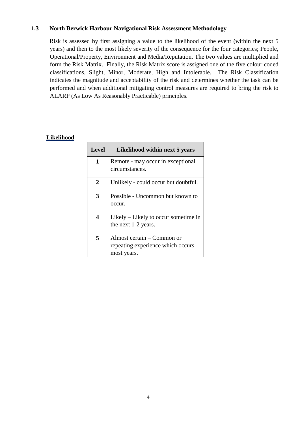#### **1.3 North Berwick Harbour Navigational Risk Assessment Methodology**

Risk is assessed by first assigning a value to the likelihood of the event (within the next 5 years) and then to the most likely severity of the consequence for the four categories; People, Operational/Property, Environment and Media/Reputation. The two values are multiplied and form the Risk Matrix. Finally, the Risk Matrix score is assigned one of the five colour coded classifications, Slight, Minor, Moderate, High and Intolerable. The Risk Classification indicates the magnitude and acceptability of the risk and determines whether the task can be performed and when additional mitigating control measures are required to bring the risk to ALARP (As Low As Reasonably Practicable) principles.

#### **Likelihood**

| <b>Level</b> | Likelihood within next 5 years                                                 |
|--------------|--------------------------------------------------------------------------------|
| 1            | Remote - may occur in exceptional<br>circumstances.                            |
| 2            | Unlikely - could occur but doubtful.                                           |
| 3            | Possible - Uncommon but known to<br>occur.                                     |
| 4            | Likely – Likely to occur sometime in<br>the next 1-2 years.                    |
| 5            | Almost certain – Common or<br>repeating experience which occurs<br>most years. |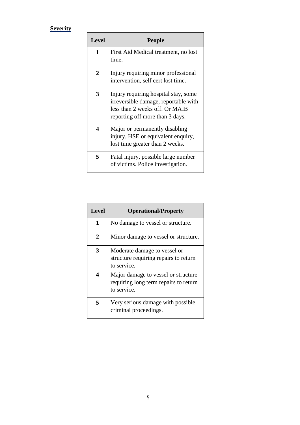# **Severity**

| <b>Level</b>   | <b>People</b>                                                                                                                                     |
|----------------|---------------------------------------------------------------------------------------------------------------------------------------------------|
| 1              | First Aid Medical treatment, no lost<br>time.                                                                                                     |
| $\overline{2}$ | Injury requiring minor professional<br>intervention, self cert lost time.                                                                         |
| 3              | Injury requiring hospital stay, some<br>irreversible damage, reportable with<br>less than 2 weeks off. Or MAIB<br>reporting off more than 3 days. |
| 4              | Major or permanently disabling<br>injury. HSE or equivalent enquiry,<br>lost time greater than 2 weeks.                                           |
| 5              | Fatal injury, possible large number<br>of victims. Police investigation.                                                                          |

| <b>Level</b> | <b>Operational/Property</b>                                                                 |
|--------------|---------------------------------------------------------------------------------------------|
| 1            | No damage to vessel or structure.                                                           |
| 2            | Minor damage to vessel or structure.                                                        |
| 3            | Moderate damage to vessel or<br>structure requiring repairs to return<br>to service.        |
| 4            | Major damage to vessel or structure<br>requiring long term repairs to return<br>to service. |
| 5            | Very serious damage with possible<br>criminal proceedings.                                  |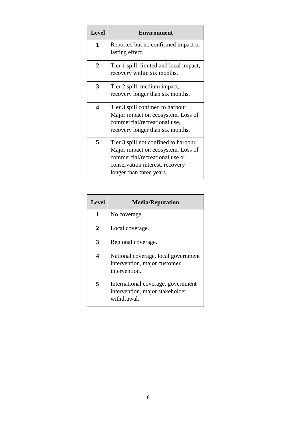| <b>Level</b> | <b>Environment</b>                                                                                                                                                           |
|--------------|------------------------------------------------------------------------------------------------------------------------------------------------------------------------------|
| 1            | Reported but no confirmed impact or<br>lasting effect.                                                                                                                       |
| 2            | Tier 1 spill, limited and local impact,<br>recovery within six months.                                                                                                       |
| 3            | Tier 2 spill, medium impact,<br>recovery longer than six months.                                                                                                             |
| 4            | Tier 3 spill confined to harbour.<br>Major impact on ecosystem. Loss of<br>commercial/recreational use,<br>recovery longer than six months.                                  |
| 5            | Tier 3 spill not confined to harbour.<br>Major impact on ecosystem. Loss of<br>commercial/recreational use or<br>conservation interest, recovery<br>longer than three years. |

| <b>Level</b> | <b>Media/Reputation</b>                                                              |
|--------------|--------------------------------------------------------------------------------------|
| 1            | No coverage.                                                                         |
| 2            | Local coverage.                                                                      |
| 3            | Regional coverage.                                                                   |
| 4            | National coverage, local government<br>intervention, major customer<br>intervention. |
| 5            | International coverage, government<br>intervention, major stakeholder<br>withdrawal. |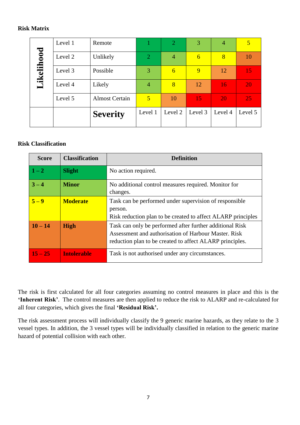#### **Risk Matrix**

|                   | Level 1 | Remote                |                | $\overline{2}$ | 3       | $\overline{4}$  | $\overline{5}$ |
|-------------------|---------|-----------------------|----------------|----------------|---------|-----------------|----------------|
| <b>Likelihood</b> | Level 2 | Unlikely              | $\overline{2}$ | $\overline{4}$ | 6       | 8               | 10             |
|                   | Level 3 | Possible              | 3              | 6              | 9       | 12              | 15             |
|                   | Level 4 | Likely                | 4              | 8              | 12      | 16 <sub>i</sub> | 20             |
|                   | Level 5 | <b>Almost Certain</b> | 5              | 10             | 15      | <b>20</b>       | 25             |
|                   |         | <b>Severity</b>       | Level 1        | Level 2        | Level 3 | Level 4         | Level 5        |

#### **Risk Classification**

| <b>Score</b> | <b>Classification</b> | <b>Definition</b>                                                                                                                                                            |
|--------------|-----------------------|------------------------------------------------------------------------------------------------------------------------------------------------------------------------------|
| $1-2$        | <b>Slight</b>         | No action required.                                                                                                                                                          |
| $3 - 4$      | <b>Minor</b>          | No additional control measures required. Monitor for<br>changes.                                                                                                             |
| $5-9$        | <b>Moderate</b>       | Task can be performed under supervision of responsible<br>person.<br>Risk reduction plan to be created to affect ALARP principles                                            |
| $10 - 14$    | <b>High</b>           | Task can only be performed after further additional Risk<br>Assessment and authorisation of Harbour Master. Risk<br>reduction plan to be created to affect ALARP principles. |
| $15 - 25$    | <b>Intolerable</b>    | Task is not authorised under any circumstances.                                                                                                                              |

The risk is first calculated for all four categories assuming no control measures in place and this is the **'Inherent Risk'**. The control measures are then applied to reduce the risk to ALARP and re-calculated for all four categories, which gives the final **'Residual Risk'.** 

The risk assessment process will individually classify the 9 generic marine hazards, as they relate to the 3 vessel types. In addition, the 3 vessel types will be individually classified in relation to the generic marine hazard of potential collision with each other.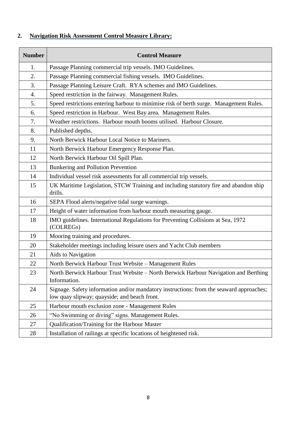### **2. Navigation Risk Assessment Control Measure Library:**

| <b>Number</b> | <b>Control Measure</b>                                                                                                                  |
|---------------|-----------------------------------------------------------------------------------------------------------------------------------------|
| 1.            | Passage Planning commercial trip vessels. IMO Guidelines.                                                                               |
| 2.            | Passage Planning commercial fishing vessels. IMO Guidelines.                                                                            |
| 3.            | Passage Planning Leisure Craft. RYA schemes and IMO Guidelines.                                                                         |
| 4.            | Speed restriction in the fairway. Management Rules.                                                                                     |
| 5.            | Speed restrictions entering harbour to minimise risk of berth surge. Management Rules.                                                  |
| 6.            | Speed restriction in Harbour. West Bay area. Management Rules.                                                                          |
| 7.            | Weather restrictions. Harbour mouth booms utilised. Harbour Closure.                                                                    |
| 8.            | Published depths.                                                                                                                       |
| 9.            | North Berwick Harbour Local Notice to Mariners.                                                                                         |
| 11            | North Berwick Harbour Emergency Response Plan.                                                                                          |
| 12            | North Berwick Harbour Oil Spill Plan.                                                                                                   |
| 13            | Bunkering and Pollution Prevention                                                                                                      |
| 14            | Individual vessel risk assessments for all commercial trip vessels.                                                                     |
| 15            | UK Maritime Legislation, STCW Training and including statutory fire and abandon ship<br>drills.                                         |
| 16            | SEPA Flood alerts/negative tidal surge warnings.                                                                                        |
| 17            | Height of water information from harbour mouth measuring gauge.                                                                         |
| 18            | IMO guidelines. International Regulations for Preventing Collisions at Sea, 1972<br>(COLREGs)                                           |
| 19            | Mooring training and procedures.                                                                                                        |
| 20            | Stakeholder meetings including leisure users and Yacht Club members                                                                     |
| 21            | Aids to Navigation                                                                                                                      |
| 22            | North Berwick Harbour Trust Website - Management Rules                                                                                  |
| 23            | North Berwick Harbour Trust Website - North Berwick Harbour Navigation and Berthing<br>Information.                                     |
| 24            | Signage. Safety information and/or mandatory instructions: from the seaward approaches;<br>low quay slipway; quayside; and beach front. |
| 25            | Harbour mouth exclusion zone - Management Rules                                                                                         |
| 26            | "No Swimming or diving" signs. Management Rules.                                                                                        |
| 27            | Qualification/Training for the Harbour Master                                                                                           |
| 28            | Installation of railings at specific locations of heightened risk.                                                                      |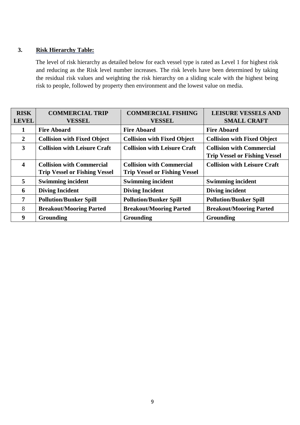#### **3. Risk Hierarchy Table:**

The level of risk hierarchy as detailed below for each vessel type is rated as Level 1 for highest risk and reducing as the Risk level number increases. The risk levels have been determined by taking the residual risk values and weighting the risk hierarchy on a sliding scale with the highest being risk to people, followed by property then environment and the lowest value on media.

| <b>RISK</b>             | <b>COMMERCIAL TRIP</b>               | <b>COMMERCIAL FISHING</b>            | <b>LEISURE VESSELS AND</b>           |
|-------------------------|--------------------------------------|--------------------------------------|--------------------------------------|
| <b>LEVEL</b>            | <b>VESSEL</b>                        | <b>VESSEL</b>                        | <b>SMALL CRAFT</b>                   |
|                         | <b>Fire Aboard</b>                   | <b>Fire Aboard</b>                   | <b>Fire Aboard</b>                   |
| $\overline{2}$          | <b>Collision with Fixed Object</b>   | <b>Collision with Fixed Object</b>   | <b>Collision with Fixed Object</b>   |
| 3                       | <b>Collision with Leisure Craft</b>  | <b>Collision with Leisure Craft</b>  | <b>Collision with Commercial</b>     |
|                         |                                      |                                      | <b>Trip Vessel or Fishing Vessel</b> |
| $\overline{\mathbf{4}}$ | <b>Collision with Commercial</b>     | <b>Collision with Commercial</b>     | <b>Collision with Leisure Craft</b>  |
|                         | <b>Trip Vessel or Fishing Vessel</b> | <b>Trip Vessel or Fishing Vessel</b> |                                      |
| $\overline{5}$          | <b>Swimming incident</b>             | <b>Swimming incident</b>             | <b>Swimming incident</b>             |
| 6                       | <b>Diving Incident</b>               | <b>Diving Incident</b>               | Diving incident                      |
| 7                       | <b>Pollution/Bunker Spill</b>        | <b>Pollution/Bunker Spill</b>        | <b>Pollution/Bunker Spill</b>        |
| 8                       | <b>Breakout/Mooring Parted</b>       | <b>Breakout/Mooring Parted</b>       | <b>Breakout/Mooring Parted</b>       |
| 9                       | Grounding                            | Grounding                            | Grounding                            |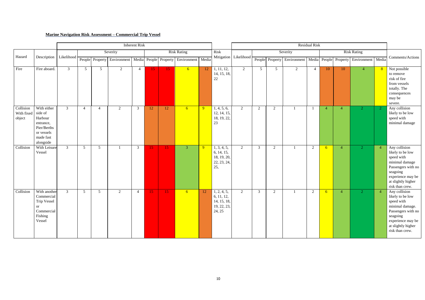# **Marine Navigation Risk Assessment – Commercial Trip Vessel**

|                                   |                                                                                                       | <b>Inherent Risk</b> |                 |                 |                                                                         |                |           |                    |                |                |                                                                   | Residual Risk         |                |                 |                                         |                |                 |                |                    |                 |                                                                                                                                                                    |
|-----------------------------------|-------------------------------------------------------------------------------------------------------|----------------------|-----------------|-----------------|-------------------------------------------------------------------------|----------------|-----------|--------------------|----------------|----------------|-------------------------------------------------------------------|-----------------------|----------------|-----------------|-----------------------------------------|----------------|-----------------|----------------|--------------------|-----------------|--------------------------------------------------------------------------------------------------------------------------------------------------------------------|
|                                   |                                                                                                       |                      | Severity        |                 |                                                                         |                |           | <b>Risk Rating</b> |                |                | Risk                                                              |                       |                |                 | Severity                                |                |                 |                | <b>Risk Rating</b> |                 |                                                                                                                                                                    |
| Hazard                            | Description                                                                                           | Likelihood           |                 |                 | People Property Environment   Media People Property Environment   Media |                |           |                    |                |                |                                                                   | Mitigation Likelihood |                | People Property | Environment   Media   People   Property |                |                 |                | Environment Media  |                 | Comments/Actions                                                                                                                                                   |
| Fire                              | Fire aboard.                                                                                          | $\mathfrak{Z}$       | 5 <sup>5</sup>  | 5 <sup>5</sup>  | 2                                                                       | 4              | <b>15</b> | 15 <sub>1</sub>    | 6 <sup>1</sup> | 12             | 1, 11, 12,<br>14, 15, 18,<br>22                                   | 2                     | 5              | $5\overline{)}$ | $\overline{2}$                          | $\overline{4}$ | 10              | 10             | $\overline{4}$     | 8               | Not possible<br>to remove<br>risk of fire<br>from vessels<br>totally. The<br>consequences<br>may be<br>severe.                                                     |
| Collision<br>With fixed<br>object | With either<br>side of<br>Harbour<br>entrance,<br>Pier/Berths<br>or vessels<br>made fast<br>alongside | $\mathfrak{Z}$       | $\overline{4}$  | $\overline{4}$  | 2                                                                       | 3              | 12        | 12                 | 6 <sup>1</sup> | 9 <sup>°</sup> | 1, 4, 5, 6,<br>12, 14, 15,<br>18, 19, 22,<br>23                   | $\overline{2}$        | 2              | 2               |                                         |                | $\overline{4}$  | $\overline{4}$ | $\overline{2}$     | $\vert 2 \vert$ | Any collision<br>likely to be low<br>speed with<br>minimal damage                                                                                                  |
| Collision                         | With Leisure<br>Vessel                                                                                | $\mathfrak{Z}$       | $5\overline{)}$ | $5\overline{)}$ |                                                                         | $\mathfrak{Z}$ | 15        | 15                 | $\mathbf{3}$   | 9              | 1, 3, 4, 5,<br>6, 14, 15,<br>18, 19, 20,<br>22, 23, 24,<br>25,    | $\overline{2}$        | $\mathfrak{Z}$ | 2               |                                         | 2              | $6\overline{6}$ | $\overline{4}$ | $\vert 2 \vert$    | $\overline{4}$  | Any collision<br>likely to be low<br>speed with<br>minimal damage<br>Passengers with no<br>seagoing<br>experience may be<br>at slightly higher<br>risk than crew.  |
| Collision                         | With another<br>Commercial<br><b>Trip Vessel</b><br>or<br>Commercial<br>Fishing<br>Vessel             | $\mathfrak{Z}$       | $\overline{5}$  | 5               | 2                                                                       | $\overline{4}$ | <b>15</b> | 15 <sub>1</sub>    | 6 <sup>1</sup> | 12             | 1, 2, 4, 5,<br>6, 11, 12,<br>14, 15, 18,<br>19, 22, 23,<br>24, 25 | $\overline{2}$        | $\mathbf{3}$   | 2               |                                         | 2              | 6               | $\overline{4}$ | $\overline{2}$     | $\overline{4}$  | Any collision<br>likely to be low<br>speed with<br>minimal damage.<br>Passengers with no<br>seagoing<br>experience may be<br>at slightly higher<br>risk than crew. |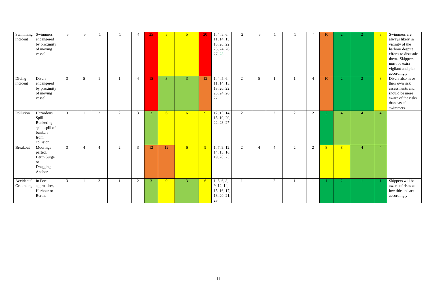| Swimming Swimmers<br>incident | endangered<br>by proximity<br>of moving<br>vessel                                    | 5 <sup>5</sup> | 5 <sup>5</sup>  |                |                |                | 25             | 5 <sup>5</sup> | 5 <sup>5</sup>  | 20              | 1, 4, 5, 6,<br>11, 14, 15,<br>18, 20, 22,<br>23, 24, 26,<br>27, 28 | $\overline{2}$ | 5 <sup>5</sup>  |                |   |                | 10             |                |                | 8              | Swimmers are<br>always likely in<br>vicinity of the<br>harbour despite<br>efforts to dissuade<br>them. Skippers<br>must be extra<br>vigilant and plan<br>accordingly. |
|-------------------------------|--------------------------------------------------------------------------------------|----------------|-----------------|----------------|----------------|----------------|----------------|----------------|-----------------|-----------------|--------------------------------------------------------------------|----------------|-----------------|----------------|---|----------------|----------------|----------------|----------------|----------------|-----------------------------------------------------------------------------------------------------------------------------------------------------------------------|
| Diving<br>incident            | Divers<br>endangered<br>by proximity<br>of moving<br>vessel                          | $\mathfrak{Z}$ | $5\overline{)}$ |                |                | $\overline{4}$ | 15             | 3 <sup>1</sup> | $\overline{3}$  | 12              | 1, 4, 5, 6,<br>11, 14, 15,<br>18, 20, 22,<br>23, 24, 26,<br>27     | $\overline{2}$ | $5\overline{)}$ |                |   | $\overline{4}$ | 10             | $\overline{2}$ | $\overline{2}$ | 8 <sup>°</sup> | Divers also have<br>their own risk<br>assessments and<br>should be more<br>aware of the risks<br>than casual<br>swimmers.                                             |
| Pollution                     | Hazardous<br>Spill.<br>Bunkering<br>spill, spill of<br>bunkers<br>from<br>collision. | $\mathfrak{Z}$ |                 | 2              | $\overline{2}$ | $\mathfrak{Z}$ | $\mathbf{3}$   | 6 <sup>1</sup> | 6 <sup>6</sup>  | $\overline{9}$  | 12, 13, 14,<br>15, 19, 20,<br>22, 23, 27                           | $\overline{2}$ |                 | 2              | 2 | 2              | $\overline{2}$ | $\overline{4}$ | $\overline{4}$ | $\overline{4}$ |                                                                                                                                                                       |
| <b>Breakout</b>               | Moorings<br>parted,<br><b>Berth Surge</b><br><sub>or</sub><br>Dragging<br>Anchor     | 3 <sup>1</sup> | $\overline{4}$  | $\overline{4}$ | $\overline{2}$ | $\mathfrak{Z}$ | 12             | 12             | $6\overline{6}$ | 9 <sup>°</sup>  | 1, 7, 9, 12,<br>14, 15, 16,<br>19, 20, 23                          | $\overline{2}$ | $\overline{4}$  | $\overline{4}$ | 2 | 2              | 8 <sup>°</sup> | 8 <sup>°</sup> | $\overline{4}$ | $\overline{4}$ |                                                                                                                                                                       |
| Accidental In Port            | Grounding   approaches,<br>Harbour or<br>Berths                                      | 3 <sup>7</sup> |                 | $\overline{3}$ |                | 2              | 3 <sup>1</sup> | 9              | $\mathbf{3}$    | $6\overline{6}$ | 1, 5, 6, 8,<br>9, 12, 14,<br>15, 16, 17,<br>18, 20, 21,<br>$23\,$  | - 1            |                 | 2              |   | $\overline{1}$ |                |                |                |                | Skippers will be<br>aware of risks at<br>low tide and act<br>accordingly.                                                                                             |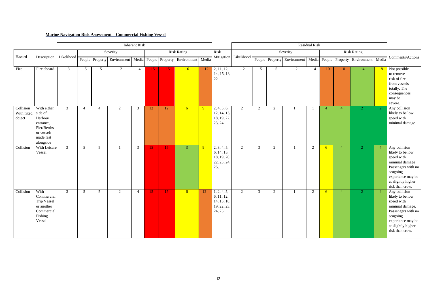# **Marine Navigation Risk Assessment – Commercial Fishing Vessel**

|                                           |                                                                                            |                |                 |                 |             | <b>Inherent Risk</b> |           |                 |                                         |    |                                                                   |                       | Residual Risk  |                 |                                         |                |                 |                |                    |                 |                                                                                                                                                                    |
|-------------------------------------------|--------------------------------------------------------------------------------------------|----------------|-----------------|-----------------|-------------|----------------------|-----------|-----------------|-----------------------------------------|----|-------------------------------------------------------------------|-----------------------|----------------|-----------------|-----------------------------------------|----------------|-----------------|----------------|--------------------|-----------------|--------------------------------------------------------------------------------------------------------------------------------------------------------------------|
|                                           |                                                                                            |                |                 |                 | Severity    |                      |           |                 | <b>Risk Rating</b>                      |    | Risk                                                              |                       |                |                 | Severity                                |                |                 |                | <b>Risk Rating</b> |                 |                                                                                                                                                                    |
| Hazard                                    | Description                                                                                | Likelihood     |                 | People Property | Environment |                      |           |                 | Media People Property Environment Media |    |                                                                   | Mitigation Likelihood |                | People Property | Environment   Media   People   Property |                |                 |                | Environment Media  |                 | Comments/Actions                                                                                                                                                   |
| Fire                                      | Fire aboard.                                                                               | $\mathbf{3}$   | $5\overline{)}$ | 5 <sup>5</sup>  | 2           | $\overline{4}$       | <b>15</b> | 15 <sub>1</sub> | 6 <sup>6</sup>                          | 12 | 2, 11, 12,<br>14, 15, 18,<br>$22\,$                               | 2                     | 5              | $5\overline{)}$ | 2                                       | $\overline{4}$ | 10              | 10             | $\overline{4}$     | 8               | Not possible<br>to remove<br>risk of fire<br>from vessels<br>totally. The<br>consequences<br>may be<br>severe.                                                     |
| Collision<br>With fixed side of<br>object | With either<br>Harbour<br>entrance,<br>Pier/Berths<br>or vessels<br>made fast<br>alongside | $\mathfrak{Z}$ | $\overline{4}$  | $\overline{4}$  | 2           | 3                    | 12        | 12              | 6 <sup>1</sup>                          | 9  | 2, 4, 5, 6,<br>12, 14, 15,<br>18, 19, 22,<br>23, 24               | 2                     | 2              | 2               |                                         |                | $\overline{4}$  | $\overline{4}$ | $\overline{2}$     | $\vert 2 \vert$ | Any collision<br>likely to be low<br>speed with<br>minimal damage                                                                                                  |
| Collision                                 | With Leisure<br>Vessel                                                                     | $\mathbf{3}$   | $5\overline{)}$ | $5\overline{)}$ |             | $\mathfrak{Z}$       | 15        | 15 <sub>1</sub> | $\mathbf{3}$                            | -9 | 2, 3, 4, 5,<br>6, 14, 15,<br>18, 19, 20,<br>22, 23, 24,<br>25,    | 2                     | $\overline{3}$ | 2               |                                         | 2              | $6\overline{6}$ | $\overline{4}$ | $\vert 2 \vert$    | $\overline{4}$  | Any collision<br>likely to be low<br>speed with<br>minimal damage<br>Passengers with no<br>seagoing<br>experience may be<br>at slightly higher<br>risk than crew.  |
| Collision                                 | With<br>Commercial<br>Trip Vessel<br>or another<br>Commercial<br>Fishing<br>Vessel         | $\mathfrak{Z}$ | $5\overline{)}$ | $5\overline{)}$ | 2           | $\overline{4}$       | 15        | 15 <sub>1</sub> | 6 <sup>1</sup>                          | 12 | 1, 2, 4, 5,<br>6, 11, 12,<br>14, 15, 18,<br>19, 22, 23,<br>24, 25 | $\overline{2}$        | $\overline{3}$ | 2               |                                         | 2              | 6               | $\overline{4}$ | $\overline{2}$     | $\overline{4}$  | Any collision<br>likely to be low<br>speed with<br>minimal damage.<br>Passengers with no<br>seagoing<br>experience may be<br>at slightly higher<br>risk than crew. |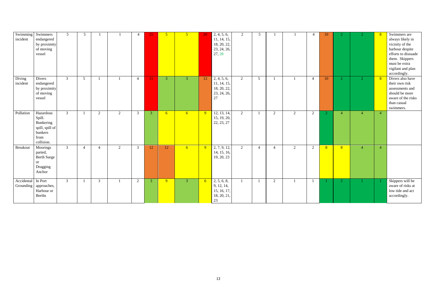| Swimming Swimmers<br>incident | endangered<br>by proximity<br>of moving<br>vessel                                    | 5 <sup>5</sup> | 5 <sup>5</sup>  |                |                |                | 25             | 5 <sup>5</sup> | 5 <sup>5</sup>  | 20              | 2, 4, 5, 6,<br>11, 14, 15,<br>18, 20, 22,<br>23, 24, 26,<br>27, 28 | $\overline{2}$ | 5 <sup>5</sup>  |                |   |                | 10             |                |                | 8              | Swimmers are<br>always likely in<br>vicinity of the<br>harbour despite<br>efforts to dissuade<br>them. Skippers<br>must be extra<br>vigilant and plan<br>accordingly. |
|-------------------------------|--------------------------------------------------------------------------------------|----------------|-----------------|----------------|----------------|----------------|----------------|----------------|-----------------|-----------------|--------------------------------------------------------------------|----------------|-----------------|----------------|---|----------------|----------------|----------------|----------------|----------------|-----------------------------------------------------------------------------------------------------------------------------------------------------------------------|
| Diving<br>incident            | Divers<br>endangered<br>by proximity<br>of moving<br>vessel                          | $\mathfrak{Z}$ | $5\overline{)}$ |                |                | $\overline{4}$ | 15             | 3 <sup>1</sup> | $\overline{3}$  | 12              | 2, 4, 5, 6,<br>11, 14, 15,<br>18, 20, 22,<br>23, 24, 26,<br>27     | 2              | $5\overline{)}$ |                |   | $\overline{4}$ | 10             | $\overline{2}$ | $\overline{2}$ | 8 <sup>°</sup> | Divers also have<br>their own risk<br>assessments and<br>should be more<br>aware of the risks<br>than casual<br>swimmers.                                             |
| Pollution                     | Hazardous<br>Spill.<br>Bunkering<br>spill, spill of<br>bunkers<br>from<br>collision. | $\mathfrak{Z}$ |                 | 2              | $\overline{2}$ | $\mathfrak{Z}$ | $\mathbf{3}$   | 6 <sup>1</sup> | 6 <sup>6</sup>  | $\overline{9}$  | 12, 13, 14,<br>15, 19, 20,<br>22, 23, 27                           | $\overline{2}$ |                 | 2              | 2 | 2              | $\overline{2}$ | $\overline{4}$ | $\overline{4}$ | $\overline{4}$ |                                                                                                                                                                       |
| <b>Breakout</b>               | Moorings<br>parted,<br><b>Berth Surge</b><br><sub>or</sub><br>Dragging<br>Anchor     | 3 <sup>1</sup> | $\overline{4}$  | $\overline{4}$ | $\overline{2}$ | $\mathfrak{Z}$ | 12             | 12             | $6\overline{6}$ | $\overline{9}$  | 2, 7, 9, 12,<br>14, 15, 16,<br>19, 20, 23                          | $\overline{2}$ | $\overline{4}$  | $\overline{4}$ | 2 | 2              | 8 <sup>°</sup> | 8 <sup>°</sup> | $\overline{4}$ | $\overline{4}$ |                                                                                                                                                                       |
| Accidental In Port            | Grounding   approaches,<br>Harbour or<br>Berths                                      | 3 <sup>7</sup> |                 | $\overline{3}$ |                | 2              | 3 <sup>1</sup> | 9              | $\overline{3}$  | $6\overline{6}$ | 2, 5, 6, 8,<br>9, 12, 14,<br>15, 16, 17,<br>18, 20, 21,<br>$23\,$  | - 1            |                 | 2              |   | $\overline{1}$ |                |                |                |                | Skippers will be<br>aware of risks at<br>low tide and act<br>accordingly.                                                                                             |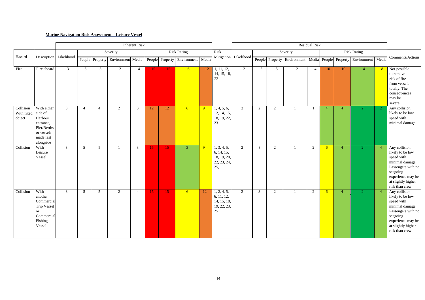# **Marine Navigation Risk Assessment – Leisure Vessel**

|                                   |                                                                                                       |                          |                 |                 |                                   | <b>Inherent Risk</b> |                 |                 |                    |                | <b>Residual Risk</b>                                           |                       |                 |                 |                |                |                |                |                                                       |                |                                                                                                                                                                    |
|-----------------------------------|-------------------------------------------------------------------------------------------------------|--------------------------|-----------------|-----------------|-----------------------------------|----------------------|-----------------|-----------------|--------------------|----------------|----------------------------------------------------------------|-----------------------|-----------------|-----------------|----------------|----------------|----------------|----------------|-------------------------------------------------------|----------------|--------------------------------------------------------------------------------------------------------------------------------------------------------------------|
|                                   |                                                                                                       |                          |                 |                 | Severity                          |                      |                 |                 | <b>Risk Rating</b> |                | Risk                                                           |                       |                 |                 | Severity       |                |                |                | <b>Risk Rating</b>                                    |                |                                                                                                                                                                    |
| Hazard                            |                                                                                                       | Description   Likelihood |                 |                 | People Property Environment Media |                      |                 | People Property | Environment Media  |                |                                                                | Mitigation Likelihood |                 | People Property |                |                |                |                | Environment   Media   People   Property   Environment | Media          | Comments/Actions                                                                                                                                                   |
| Fire                              | Fire aboard.                                                                                          | $\mathbf{3}$             | $5\overline{)}$ | 5 <sup>5</sup>  | 2                                 | $\overline{4}$       | 15              | <b>15</b>       | 6 <sup>1</sup>     | 12             | 1, 11, 12,<br>14, 15, 18,<br>$22\,$                            | 2                     | $5\overline{)}$ | 5 <sup>5</sup>  | $\overline{2}$ | $\overline{4}$ | 10             | 10             | $\overline{4}$                                        | -8             | Not possible<br>to remove<br>risk of fire<br>from vessels<br>totally. The<br>consequences<br>may be<br>severe.                                                     |
| Collision<br>With fixed<br>object | With either<br>side of<br>Harbour<br>entrance,<br>Pier/Berths<br>or vessels<br>made fast<br>alongside | $\mathfrak{Z}$           | $\overline{4}$  | $\overline{4}$  | 2                                 | $\mathfrak{Z}$       | 12              | 12              | 6 <sup>1</sup>     | $\overline{9}$ | 1, 4, 5, 6,<br>12, 14, 15,<br>18, 19, 22,<br>23                | $\overline{2}$        | 2               | 2               |                |                | $\overline{4}$ | $\overline{4}$ | $\mathbf{2}^{\circ}$                                  | $\mathbf{2}$   | Any collision<br>likely to be low<br>speed with<br>minimal damage                                                                                                  |
| Collision                         | With<br>Leisure<br>Vessel                                                                             | $\mathfrak{Z}$           | $5\overline{)}$ | $5\overline{)}$ |                                   | $\mathbf{3}$         | 15              | 15              | $\overline{3}$     | <b>9</b>       | 1, 3, 4, 5,<br>6, 14, 15,<br>18, 19, 20,<br>22, 23, 24,<br>25, | 2                     | $\mathfrak{Z}$  | 2               |                | 2              | 6              | $\overline{4}$ | $\overline{2}$                                        | $\overline{4}$ | Any collision<br>likely to be low<br>speed with<br>minimal damage<br>Passengers with no<br>seagoing<br>experience may be<br>at slightly higher<br>risk than crew.  |
| Collision                         | With<br>another<br>Commercial<br>Trip Vessel<br><b>or</b><br>Commercial<br>Fishing<br>Vessel          | $\mathfrak{Z}$           | $5\overline{)}$ | $\overline{5}$  | 2                                 | $\overline{4}$       | 15 <sup>2</sup> | 15              | 6 <sup>1</sup>     | 12             | 1, 2, 4, 5,<br>6, 11, 12,<br>14, 15, 18,<br>19, 22, 23,<br>25  | $\overline{2}$        | 3               | 2               |                | 2              | 6              | $\overline{4}$ | 2 <sup>1</sup>                                        | -4             | Any collision<br>likely to be low<br>speed with<br>minimal damage.<br>Passengers with no<br>seagoing<br>experience may be<br>at slightly higher<br>risk than crew. |